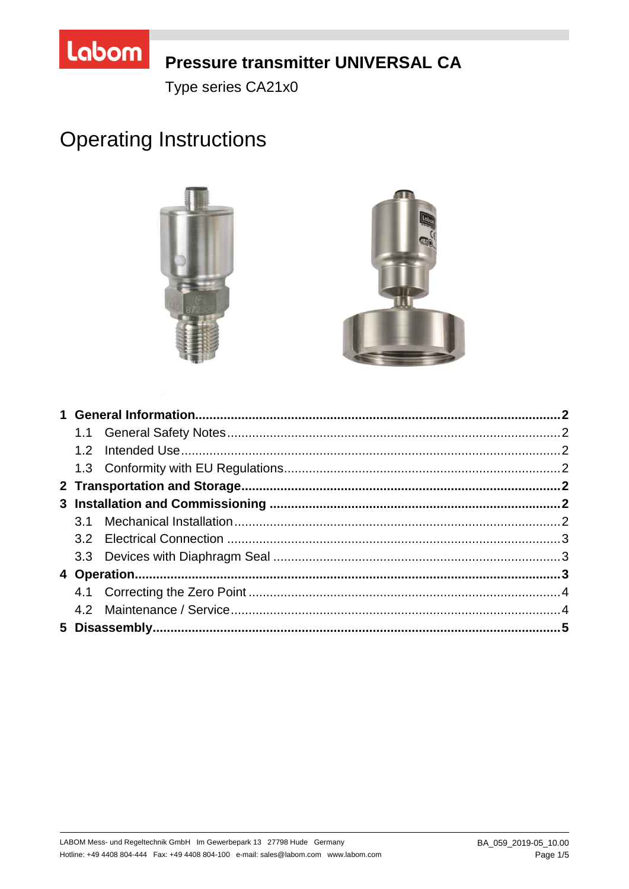

# **Pressure transmitter UNIVERSAL CA**

Type series CA21x0

# **Operating Instructions**

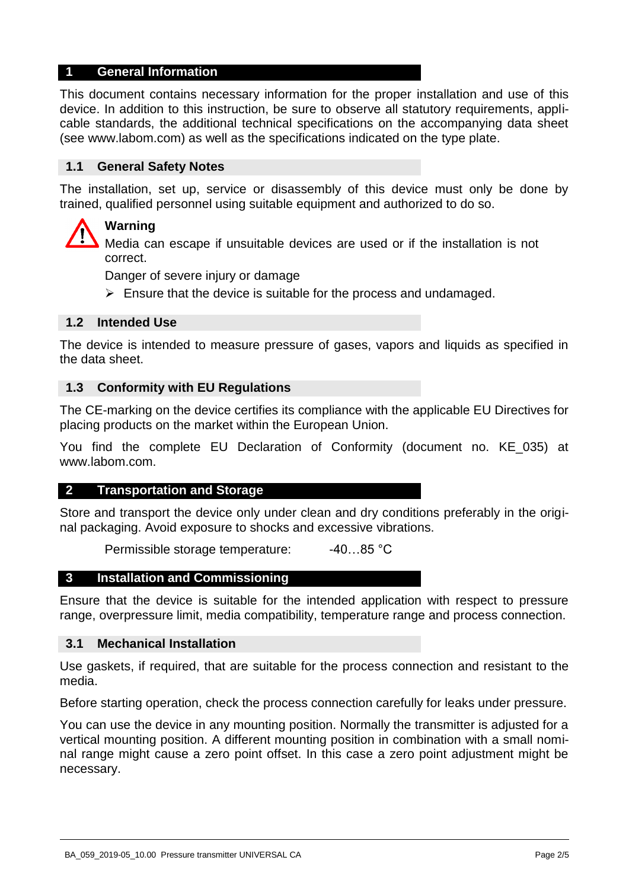#### **1 General Information**

This document contains necessary information for the proper installation and use of this device. In addition to this instruction, be sure to observe all statutory requirements, applicable standards, the additional technical specifications on the accompanying data sheet (see www.labom.com) as well as the specifications indicated on the type plate.

#### **1.1 General Safety Notes**

The installation, set up, service or disassembly of this device must only be done by trained, qualified personnel using suitable equipment and authorized to do so.

# **Warning**

Media can escape if unsuitable devices are used or if the installation is not correct.

Danger of severe injury or damage

 $\triangleright$  Ensure that the device is suitable for the process and undamaged.

#### **1.2 Intended Use**

The device is intended to measure pressure of gases, vapors and liquids as specified in the data sheet.

#### **1.3 Conformity with EU Regulations**

The CE-marking on the device certifies its compliance with the applicable EU Directives for placing products on the market within the European Union.

You find the complete EU Declaration of Conformity (document no. KE\_035) at www.labom.com.

#### **2 Transportation and Storage**

Store and transport the device only under clean and dry conditions preferably in the original packaging. Avoid exposure to shocks and excessive vibrations.

Permissible storage temperature: -40...85 °C

#### **3 Installation and Commissioning**

Ensure that the device is suitable for the intended application with respect to pressure range, overpressure limit, media compatibility, temperature range and process connection.

#### **3.1 Mechanical Installation**

Use gaskets, if required, that are suitable for the process connection and resistant to the media.

Before starting operation, check the process connection carefully for leaks under pressure.

You can use the device in any mounting position. Normally the transmitter is adjusted for a vertical mounting position. A different mounting position in combination with a small nominal range might cause a zero point offset. In this case a zero point adjustment might be necessary.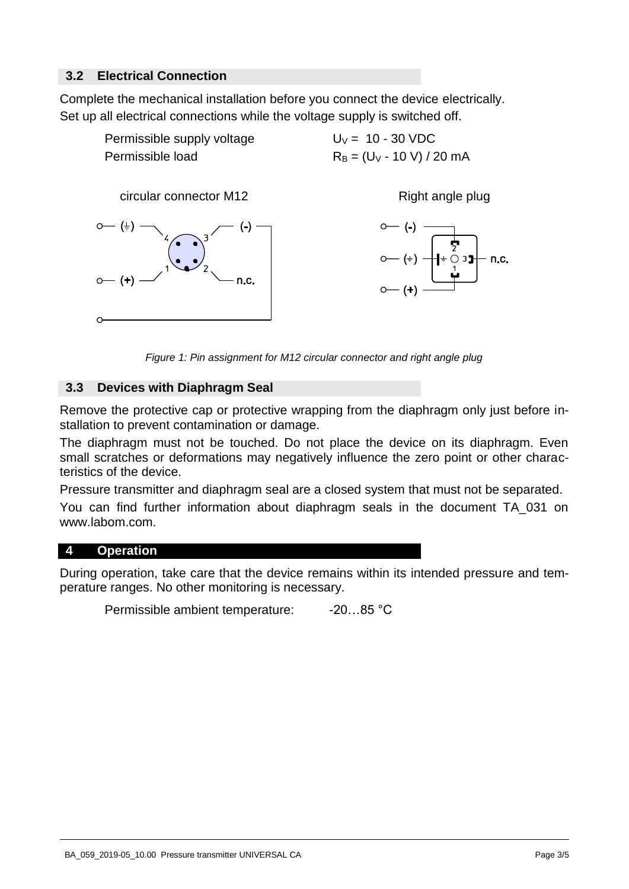# **3.2 Electrical Connection**

Complete the mechanical installation before you connect the device electrically. Set up all electrical connections while the voltage supply is switched off.



*Figure 1: Pin assignment for M12 circular connector and right angle plug* 

#### **3.3 Devices with Diaphragm Seal**

Remove the protective cap or protective wrapping from the diaphragm only just before installation to prevent contamination or damage.

The diaphragm must not be touched. Do not place the device on its diaphragm. Even small scratches or deformations may negatively influence the zero point or other characteristics of the device.

Pressure transmitter and diaphragm seal are a closed system that must not be separated.

You can find further information about diaphragm seals in the document TA\_031 on www.labom.com.

#### **4 Operation**

During operation, take care that the device remains within its intended pressure and temperature ranges. No other monitoring is necessary.

Permissible ambient temperature: -20...85 °C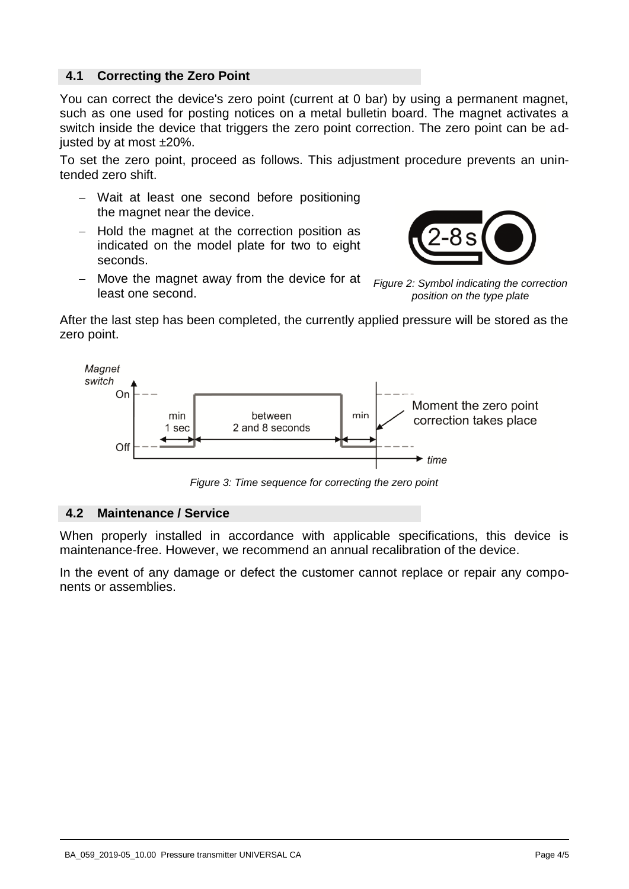# **4.1 Correcting the Zero Point**

You can correct the device's zero point (current at 0 bar) by using a permanent magnet, such as one used for posting notices on a metal bulletin board. The magnet activates a switch inside the device that triggers the zero point correction. The zero point can be adjusted by at most ±20%.

To set the zero point, proceed as follows. This adjustment procedure prevents an unintended zero shift.

- Wait at least one second before positioning the magnet near the device.
- $-$  Hold the magnet at the correction position as indicated on the model plate for two to eight seconds.



 Move the magnet away from the device for at least one second.

*Figure 2: Symbol indicating the correction position on the type plate*

After the last step has been completed, the currently applied pressure will be stored as the zero point.



*Figure 3: Time sequence for correcting the zero point* 

#### **4.2 Maintenance / Service**

When properly installed in accordance with applicable specifications, this device is maintenance-free. However, we recommend an annual recalibration of the device.

In the event of any damage or defect the customer cannot replace or repair any components or assemblies.